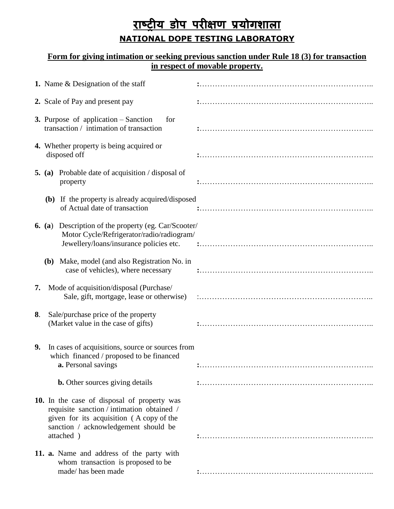## **राष्ट्रीय डोप परीक्षण प्रयोगशाऱा NATIONAL DOPE TESTING LABORATORY**

## **Form for giving intimation or seeking previous sanction under Rule 18 (3) for transaction in respect of movable property.**

|    | 1. Name & Designation of the staff                                                                                                                                                         |  |
|----|--------------------------------------------------------------------------------------------------------------------------------------------------------------------------------------------|--|
|    | 2. Scale of Pay and present pay                                                                                                                                                            |  |
|    | <b>3.</b> Purpose of application $-$ Sanction<br>for<br>transaction / intimation of transaction                                                                                            |  |
|    | 4. Whether property is being acquired or<br>disposed off                                                                                                                                   |  |
|    | <b>5.</b> (a) Probable date of acquisition / disposal of<br>property                                                                                                                       |  |
|    | (b) If the property is already acquired/disposed<br>of Actual date of transaction                                                                                                          |  |
|    | <b>6.</b> (a) Description of the property (eg. Car/Scooter/<br>Motor Cycle/Refrigerator/radio/radiogram/                                                                                   |  |
|    | (b) Make, model (and also Registration No. in<br>case of vehicles), where necessary                                                                                                        |  |
| 7. | Mode of acquisition/disposal (Purchase/                                                                                                                                                    |  |
| 8. | Sale/purchase price of the property<br>(Market value in the case of gifts)                                                                                                                 |  |
| 9. | In cases of acquisitions, source or sources from<br>which financed / proposed to be financed<br><b>a.</b> Personal savings                                                                 |  |
|    | <b>b.</b> Other sources giving details                                                                                                                                                     |  |
|    | 10. In the case of disposal of property was<br>requisite sanction / intimation obtained /<br>given for its acquisition (A copy of the<br>sanction / acknowledgement should be<br>attached) |  |
|    | 11. a. Name and address of the party with<br>whom transaction is proposed to be<br>made/has been made                                                                                      |  |